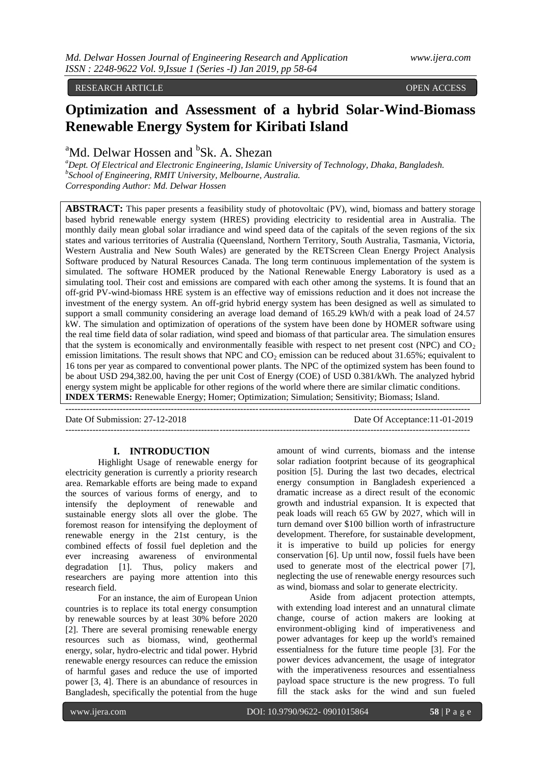## RESEARCH ARTICLE OPEN ACCESS

# **Optimization and Assessment of a hybrid Solar-Wind-Biomass Renewable Energy System for Kiribati Island**

## <sup>a</sup>Md. Delwar Hossen and <sup>b</sup>Sk. A. Shezan

*<sup>a</sup>Dept. Of Electrical and Electronic Engineering, Islamic University of Technology, Dhaka, Bangladesh. b School of Engineering, RMIT University, Melbourne, Australia. Corresponding Author: Md. Delwar Hossen*

**ABSTRACT:** This paper presents a feasibility study of photovoltaic (PV), wind, biomass and battery storage based hybrid renewable energy system (HRES) providing electricity to residential area in Australia. The monthly daily mean global solar irradiance and wind speed data of the capitals of the seven regions of the six states and various territories of Australia (Queensland, Northern Territory, South Australia, Tasmania, Victoria, Western Australia and New South Wales) are generated by the RETScreen Clean Energy Project Analysis Software produced by Natural Resources Canada. The long term continuous implementation of the system is simulated. The software HOMER produced by the National Renewable Energy Laboratory is used as a simulating tool. Their cost and emissions are compared with each other among the systems. It is found that an off-grid PV-wind-biomass HRE system is an effective way of emissions reduction and it does not increase the investment of the energy system. An off-grid hybrid energy system has been designed as well as simulated to support a small community considering an average load demand of 165.29 kWh/d with a peak load of 24.57 kW. The simulation and optimization of operations of the system have been done by HOMER software using the real time field data of solar radiation, wind speed and biomass of that particular area. The simulation ensures that the system is economically and environmentally feasible with respect to net present cost (NPC) and  $CO<sub>2</sub>$ emission limitations. The result shows that NPC and  $CO<sub>2</sub>$  emission can be reduced about 31.65%; equivalent to 16 tons per year as compared to conventional power plants. The NPC of the optimized system has been found to be about USD 294,382.00, having the per unit Cost of Energy (COE) of USD 0.381/kWh. The analyzed hybrid energy system might be applicable for other regions of the world where there are similar climatic conditions. **INDEX TERMS:** Renewable Energy; Homer; Optimization; Simulation; Sensitivity; Biomass; Island.

--------------------------------------------------------------------------------------------------------------------------------------

--------------------------------------------------------------------------------------------------------------------------------------

Date Of Submission: 27-12-2018 Date Of Acceptance:11-01-2019

#### **I. INTRODUCTION**

Highlight Usage of renewable energy for electricity generation is currently a priority research area. Remarkable efforts are being made to expand the sources of various forms of energy, and to intensify the deployment of renewable and sustainable energy slots all over the globe. The foremost reason for intensifying the deployment of renewable energy in the 21st century, is the combined effects of fossil fuel depletion and the ever increasing awareness of environmental degradation [1]. Thus, policy makers and researchers are paying more attention into this research field.

For an instance, the aim of European Union countries is to replace its total energy consumption by renewable sources by at least 30% before 2020 [2]. There are several promising renewable energy resources such as biomass, wind, geothermal energy, solar, hydro-electric and tidal power. Hybrid renewable energy resources can reduce the emission of harmful gases and reduce the use of imported power [3, 4]. There is an abundance of resources in Bangladesh, specifically the potential from the huge

amount of wind currents, biomass and the intense solar radiation footprint because of its geographical position [5]. During the last two decades, electrical energy consumption in Bangladesh experienced a dramatic increase as a direct result of the economic growth and industrial expansion. It is expected that peak loads will reach 65 GW by 2027, which will in turn demand over \$100 billion worth of infrastructure development. Therefore, for sustainable development, it is imperative to build up policies for energy conservation [6]. Up until now, fossil fuels have been used to generate most of the electrical power [7], neglecting the use of renewable energy resources such as wind, biomass and solar to generate electricity.

Aside from adjacent protection attempts, with extending load interest and an unnatural climate change, course of action makers are looking at environment-obliging kind of imperativeness and power advantages for keep up the world's remained essentialness for the future time people [3]. For the power devices advancement, the usage of integrator with the imperativeness resources and essentialness payload space structure is the new progress. To full fill the stack asks for the wind and sun fueled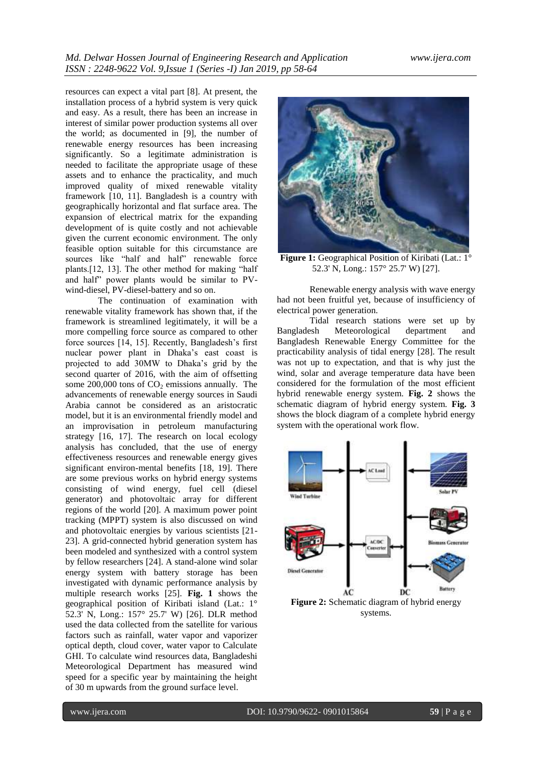resources can expect a vital part [8]. At present, the installation process of a hybrid system is very quick and easy. As a result, there has been an increase in interest of similar power production systems all over the world; as documented in [9], the number of renewable energy resources has been increasing significantly. So a legitimate administration is needed to facilitate the appropriate usage of these assets and to enhance the practicality, and much improved quality of mixed renewable vitality framework [10, 11]. Bangladesh is a country with geographically horizontal and flat surface area. The expansion of electrical matrix for the expanding development of is quite costly and not achievable given the current economic environment. The only feasible option suitable for this circumstance are sources like "half and half" renewable force plants.[12, 13]. The other method for making "half and half" power plants would be similar to PVwind-diesel, PV-diesel-battery and so on.

The continuation of examination with renewable vitality framework has shown that, if the framework is streamlined legitimately, it will be a more compelling force source as compared to other force sources [14, 15]. Recently, Bangladesh's first nuclear power plant in Dhaka's east coast is projected to add 30MW to Dhaka's grid by the second quarter of 2016, with the aim of offsetting some  $200,000$  tons of  $CO<sub>2</sub>$  emissions annually. The advancements of renewable energy sources in Saudi Arabia cannot be considered as an aristocratic model, but it is an environmental friendly model and an improvisation in petroleum manufacturing strategy [16, 17]. The research on local ecology analysis has concluded, that the use of energy effectiveness resources and renewable energy gives significant environ-mental benefits [18, 19]. There are some previous works on hybrid energy systems consisting of wind energy, fuel cell (diesel generator) and photovoltaic array for different regions of the world [20]. A maximum power point tracking (MPPT) system is also discussed on wind and photovoltaic energies by various scientists [21- 23]. A grid-connected hybrid generation system has been modeled and synthesized with a control system by fellow researchers [24]. A stand-alone wind solar energy system with battery storage has been investigated with dynamic performance analysis by multiple research works [25]. **Fig. 1** shows the geographical position of Kiribati island (Lat.: 1° 52.3' N, Long.: 157° 25.7' W) [26]. DLR method used the data collected from the satellite for various factors such as rainfall, water vapor and vaporizer optical depth, cloud cover, water vapor to Calculate GHI. To calculate wind resources data, Bangladeshi Meteorological Department has measured wind speed for a specific year by maintaining the height of 30 m upwards from the ground surface level.



**Figure 1:** Geographical Position of Kiribati (Lat.: 1° 52.3' N, Long.: 157° 25.7' W) [27].

Renewable energy analysis with wave energy had not been fruitful yet, because of insufficiency of electrical power generation.

Tidal research stations were set up by Bangladesh Meteorological department and Bangladesh Renewable Energy Committee for the practicability analysis of tidal energy [28]. The result was not up to expectation, and that is why just the wind, solar and average temperature data have been considered for the formulation of the most efficient hybrid renewable energy system. **Fig. 2** shows the schematic diagram of hybrid energy system. **Fig. 3** shows the block diagram of a complete hybrid energy system with the operational work flow.



**Figure 2:** Schematic diagram of hybrid energy systems.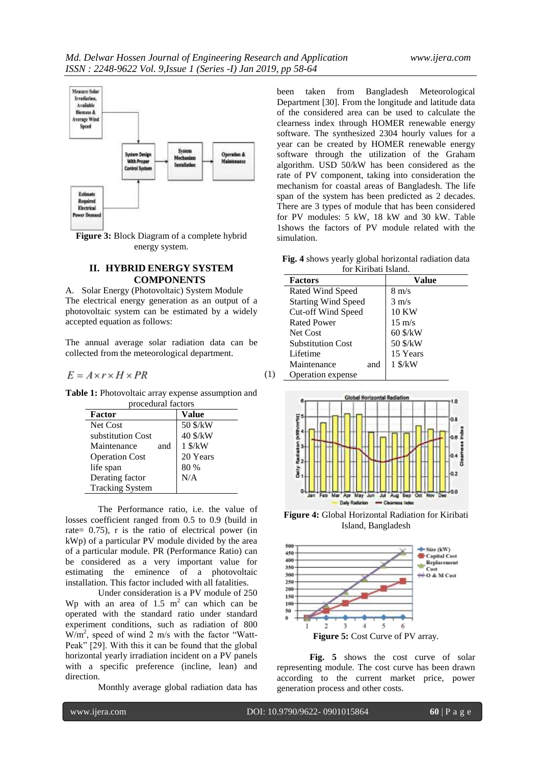

**Figure 3:** Block Diagram of a complete hybrid energy system.

## **II. HYBRID ENERGY SYSTEM COMPONENTS**

A. Solar Energy (Photovoltaic) System Module The electrical energy generation as an output of a photovoltaic system can be estimated by a widely accepted equation as follows:

The annual average solar radiation data can be collected from the meteorological department.

$$
E = A \times r \times H \times PR
$$

**Table 1:** Photovoltaic array expense assumption and procedural factors

| roccaaiai iaciois      |           |  |  |
|------------------------|-----------|--|--|
| <b>Factor</b>          | Value     |  |  |
| Net Cost               | 50 \$/kW  |  |  |
| substitution Cost      | 40 \$/kW  |  |  |
| Maintenance<br>and     | $1$ \$/kW |  |  |
| <b>Operation Cost</b>  | 20 Years  |  |  |
| life span              | 80 %      |  |  |
| Derating factor        | N/A       |  |  |
| <b>Tracking System</b> |           |  |  |

The Performance ratio, i.e. the value of losses coefficient ranged from 0.5 to 0.9 (build in rate= 0.75), r is the ratio of electrical power (in kWp) of a particular PV module divided by the area of a particular module. PR (Performance Ratio) can be considered as a very important value for estimating the eminence of a photovoltaic installation. This factor included with all fatalities.

Under consideration is a PV module of 250 Wp with an area of  $1.5 \text{ m}^2$  can which can be operated with the standard ratio under standard experiment conditions, such as radiation of 800  $W/m^2$ , speed of wind 2 m/s with the factor "Watt-Peak" [29]. With this it can be found that the global horizontal yearly irradiation incident on a PV panels with a specific preference (incline, lean) and direction.

Monthly average global radiation data has

been taken from Bangladesh Meteorological Department [30]. From the longitude and latitude data of the considered area can be used to calculate the clearness index through HOMER renewable energy software. The synthesized 2304 hourly values for a year can be created by HOMER renewable energy software through the utilization of the Graham algorithm. USD 50/kW has been considered as the rate of PV component, taking into consideration the mechanism for coastal areas of Bangladesh. The life span of the system has been predicted as 2 decades. There are 3 types of module that has been considered for PV modules: 5 kW, 18 kW and 30 kW. Table 1shows the factors of PV module related with the simulation.

**Fig. 4** shows yearly global horizontal radiation data for Kiribati Island.

| IVI IXIHIZALI IMAHU.       |                  |  |  |  |
|----------------------------|------------------|--|--|--|
| <b>Factors</b>             | Value            |  |  |  |
| Rated Wind Speed           | $8 \text{ m/s}$  |  |  |  |
| <b>Starting Wind Speed</b> | $3 \text{ m/s}$  |  |  |  |
| Cut-off Wind Speed         | 10 KW            |  |  |  |
| <b>Rated Power</b>         | $15 \text{ m/s}$ |  |  |  |
| Net Cost                   | 60 \$/kW         |  |  |  |
| <b>Substitution Cost</b>   | 50 \$/kW         |  |  |  |
| Lifetime                   | 15 Years         |  |  |  |
| Maintenance<br>and         | $1$ \$/kW        |  |  |  |
| <b>Operation</b> expense   |                  |  |  |  |



**Figure 4:** Global Horizontal Radiation for Kiribati Island, Bangladesh



**Fig. 5** shows the cost curve of solar representing module. The cost curve has been drawn according to the current market price, power generation process and other costs.

(1)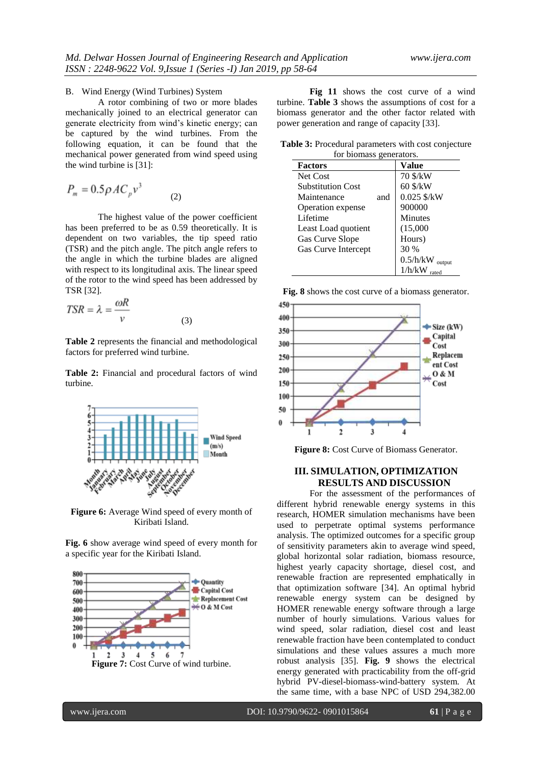#### B. Wind Energy (Wind Turbines) System

A rotor combining of two or more blades mechanically joined to an electrical generator can generate electricity from wind's kinetic energy; can be captured by the wind turbines. From the following equation, it can be found that the mechanical power generated from wind speed using the wind turbine is [31]:

$$
P_m = 0.5 \rho A C_p v^3 \tag{2}
$$

The highest value of the power coefficient has been preferred to be as 0.59 theoretically. It is dependent on two variables, the tip speed ratio (TSR) and the pitch angle. The pitch angle refers to the angle in which the turbine blades are aligned with respect to its longitudinal axis. The linear speed of the rotor to the wind speed has been addressed by TSR [32].

$$
TSR = \lambda = \frac{\omega R}{v}
$$
 (3)

**Table 2** represents the financial and methodological factors for preferred wind turbine.

**Table 2:** Financial and procedural factors of wind turbine.



**Figure 6:** Average Wind speed of every month of Kiribati Island.

**Fig. 6** show average wind speed of every month for a specific year for the Kiribati Island.



**Fig 11** shows the cost curve of a wind turbine. **Table 3** shows the assumptions of cost for a biomass generator and the other factor related with power generation and range of capacity [33].

| Table 3: Procedural parameters with cost conjecture |  |
|-----------------------------------------------------|--|
| for biomass generators.                             |  |

| <b>Factors</b>           |     | Value              |
|--------------------------|-----|--------------------|
| Net Cost                 |     | 70 \$/kW           |
| <b>Substitution Cost</b> |     | 60 \$/kW           |
| Maintenance              | and | 0.025 \$/kW        |
| Operation expense        |     | 900000             |
| Lifetime                 |     | <b>Minutes</b>     |
| Least Load quotient      |     | (15,000)           |
| Gas Curve Slope          |     | Hours)             |
| Gas Curve Intercept      |     | 30 %               |
|                          |     | 0.5/h/kW<br>output |
|                          |     | 1/h/kW<br>rated    |

**Fig. 8** shows the cost curve of a biomass generator.



**Figure 8:** Cost Curve of Biomass Generator.

## **III. SIMULATION, OPTIMIZATION RESULTS AND DISCUSSION**

For the assessment of the performances of different hybrid renewable energy systems in this research, HOMER simulation mechanisms have been used to perpetrate optimal systems performance analysis. The optimized outcomes for a specific group of sensitivity parameters akin to average wind speed, global horizontal solar radiation, biomass resource, highest yearly capacity shortage, diesel cost, and renewable fraction are represented emphatically in that optimization software [34]. An optimal hybrid renewable energy system can be designed by HOMER renewable energy software through a large number of hourly simulations. Various values for wind speed, solar radiation, diesel cost and least renewable fraction have been contemplated to conduct simulations and these values assures a much more robust analysis [35]. **Fig. 9** shows the electrical energy generated with practicability from the off-grid hybrid PV-diesel-biomass-wind-battery system. At the same time, with a base NPC of USD 294,382.00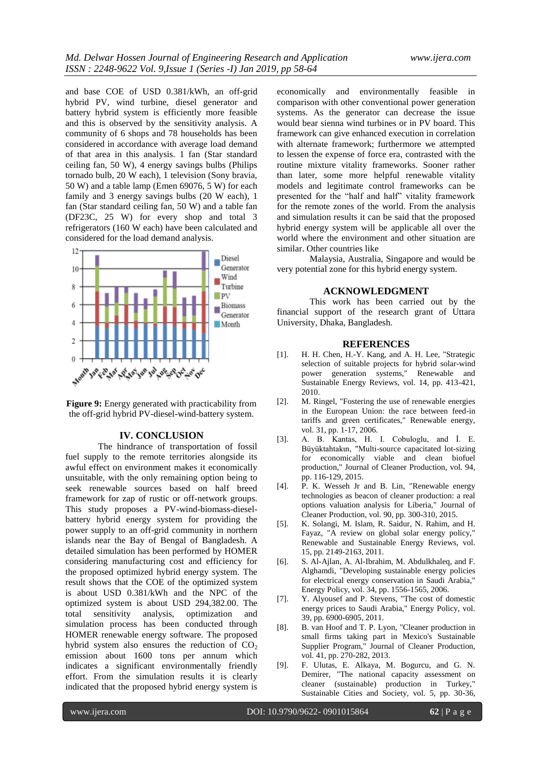and base COE of USD 0.381/kWh, an off-grid hybrid PV, wind turbine, diesel generator and battery hybrid system is efficiently more feasible and this is observed by the sensitivity analysis. A community of 6 shops and 78 households has been considered in accordance with average load demand of that area in this analysis. 1 fan (Star standard ceiling fan, 50 W), 4 energy savings bulbs (Philips tornado bulb, 20 W each), 1 television (Sony bravia, 50 W) and a table lamp (Emen 69076, 5 W) for each family and 3 energy savings bulbs (20 W each), 1 fan (Star standard ceiling fan, 50 W) and a table fan (DF23C, 25 W) for every shop and total 3 refrigerators (160 W each) have been calculated and considered for the load demand analysis.



Figure 9: Energy generated with practicability from the off-grid hybrid PV-diesel-wind-battery system.

#### **IV. CONCLUSION**

The hindrance of transportation of fossil fuel supply to the remote territories alongside its awful effect on environment makes it economically unsuitable, with the only remaining option being to seek renewable sources based on half breed framework for zap of rustic or off-network groups. This study proposes a PV-wind-biomass-dieselbattery hybrid energy system for providing the power supply to an off-grid community in northern islands near the Bay of Bengal of Bangladesh. A detailed simulation has been performed by HOMER considering manufacturing cost and efficiency for the proposed optimized hybrid energy system. The result shows that the COE of the optimized system is about USD 0.381/kWh and the NPC of the optimized system is about USD 294,382.00. The total sensitivity analysis, optimization and simulation process has been conducted through HOMER renewable energy software. The proposed hybrid system also ensures the reduction of  $CO<sub>2</sub>$ emission about 1600 tons per annum which indicates a significant environmentally friendly effort. From the simulation results it is clearly indicated that the proposed hybrid energy system is

economically and environmentally feasible in comparison with other conventional power generation systems. As the generator can decrease the issue would bear sienna wind turbines or in PV board. This framework can give enhanced execution in correlation with alternate framework; furthermore we attempted to lessen the expense of force era, contrasted with the routine mixture vitality frameworks. Sooner rather than later, some more helpful renewable vitality models and legitimate control frameworks can be presented for the "half and half" vitality framework for the remote zones of the world. From the analysis and simulation results it can be said that the proposed hybrid energy system will be applicable all over the world where the environment and other situation are similar. Other countries like

Malaysia, Australia, Singapore and would be very potential zone for this hybrid energy system.

#### **ACKNOWLEDGMENT**

This work has been carried out by the financial support of the research grant of Uttara University, Dhaka, Bangladesh.

#### **REFERENCES**

- [1]. H. H. Chen, H.-Y. Kang, and A. H. Lee, "Strategic selection of suitable projects for hybrid solar-wind power generation systems," Renewable and Sustainable Energy Reviews, vol. 14, pp. 413-421, 2010.
- [2]. M. Ringel, "Fostering the use of renewable energies in the European Union: the race between feed-in tariffs and green certificates," Renewable energy, vol. 31, pp. 1-17, 2006.
- [3]. A. B. Kantas, H. I. Cobuloglu, and İ. E. Büyüktahtakιn, "Multi-source capacitated lot-sizing for economically viable and clean biofuel production," Journal of Cleaner Production, vol. 94, pp. 116-129, 2015.
- [4]. P. K. Wesseh Jr and B. Lin, "Renewable energy technologies as beacon of cleaner production: a real options valuation analysis for Liberia," Journal of Cleaner Production, vol. 90, pp. 300-310, 2015.
- [5]. K. Solangi, M. Islam, R. Saidur, N. Rahim, and H. Fayaz, "A review on global solar energy policy," Renewable and Sustainable Energy Reviews, vol. 15, pp. 2149-2163, 2011.
- [6]. S. Al-Ajlan, A. Al-Ibrahim, M. Abdulkhaleq, and F. Alghamdi, "Developing sustainable energy policies for electrical energy conservation in Saudi Arabia," Energy Policy, vol. 34, pp. 1556-1565, 2006.
- [7]. Y. Alyousef and P. Stevens, "The cost of domestic energy prices to Saudi Arabia," Energy Policy, vol. 39, pp. 6900-6905, 2011.
- [8]. B. van Hoof and T. P. Lyon, "Cleaner production in small firms taking part in Mexico's Sustainable Supplier Program," Journal of Cleaner Production, vol. 41, pp. 270-282, 2013.
- [9]. F. Ulutas, E. Alkaya, M. Bogurcu, and G. N. Demirer, "The national capacity assessment on cleaner (sustainable) production in Turkey," Sustainable Cities and Society, vol. 5, pp. 30-36,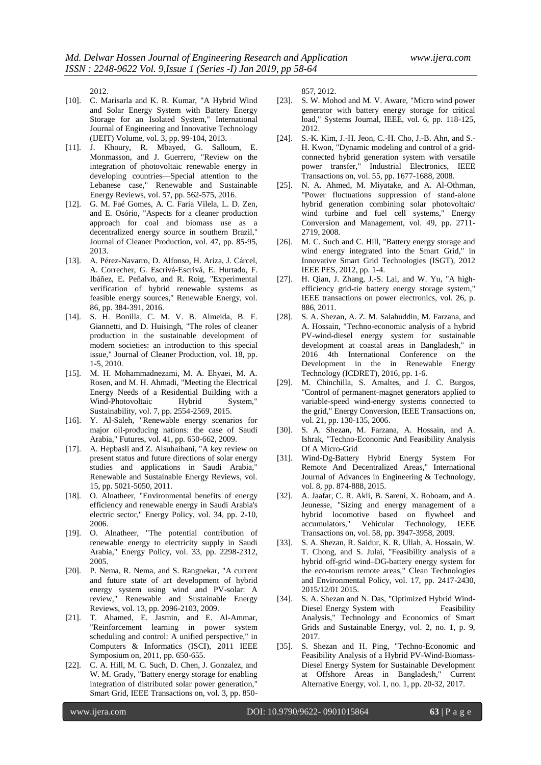2012.

- [10]. C. Marisarla and K. R. Kumar, "A Hybrid Wind and Solar Energy System with Battery Energy Storage for an Isolated System," International Journal of Engineering and Innovative Technology (IJEIT) Volume, vol. 3, pp. 99-104, 2013.
- [11]. J. Khoury, R. Mbayed, G. Salloum, E. Monmasson, and J. Guerrero, "Review on the integration of photovoltaic renewable energy in developing countries—Special attention to the Lebanese case," Renewable and Sustainable Energy Reviews, vol. 57, pp. 562-575, 2016.
- [12]. G. M. Faé Gomes, A. C. Faria Vilela, L. D. Zen, and E. Osório, "Aspects for a cleaner production approach for coal and biomass use as a decentralized energy source in southern Brazil," Journal of Cleaner Production, vol. 47, pp. 85-95, 2013.
- [13]. A. Pérez-Navarro, D. Alfonso, H. Ariza, J. Cárcel, A. Correcher, G. Escrivá-Escrivá, E. Hurtado, F. Ibáñez, E. Peñalvo, and R. Roig, "Experimental verification of hybrid renewable systems as feasible energy sources," Renewable Energy, vol. 86, pp. 384-391, 2016.
- [14]. S. H. Bonilla, C. M. V. B. Almeida, B. F. Giannetti, and D. Huisingh, "The roles of cleaner production in the sustainable development of modern societies: an introduction to this special issue," Journal of Cleaner Production, vol. 18, pp. 1-5, 2010.
- [15]. M. H. Mohammadnezami, M. A. Ehyaei, M. A. Rosen, and M. H. Ahmadi, "Meeting the Electrical Energy Needs of a Residential Building with a Wind-Photovoltaic Hybrid System," Sustainability, vol. 7, pp. 2554-2569, 2015.
- [16]. Y. Al-Saleh, "Renewable energy scenarios for major oil-producing nations: the case of Saudi Arabia," Futures, vol. 41, pp. 650-662, 2009.
- [17]. A. Hepbasli and Z. Alsuhaibani, "A key review on present status and future directions of solar energy studies and applications in Saudi Arabia," Renewable and Sustainable Energy Reviews, vol. 15, pp. 5021-5050, 2011.
- [18]. O. Alnatheer, "Environmental benefits of energy efficiency and renewable energy in Saudi Arabia's electric sector," Energy Policy, vol. 34, pp. 2-10, 2006.
- [19]. O. Alnatheer, "The potential contribution of renewable energy to electricity supply in Saudi Arabia," Energy Policy, vol. 33, pp. 2298-2312, 2005.
- [20]. P. Nema, R. Nema, and S. Rangnekar, "A current and future state of art development of hybrid energy system using wind and PV-solar: A review," Renewable and Sustainable Energy Reviews, vol. 13, pp. 2096-2103, 2009.
- [21]. T. Ahamed, E. Jasmin, and E. Al-Ammar, "Reinforcement learning in power system scheduling and control: A unified perspective," in Computers & Informatics (ISCI), 2011 IEEE Symposium on, 2011, pp. 650-655.
- [22]. C. A. Hill, M. C. Such, D. Chen, J. Gonzalez, and W. M. Grady, "Battery energy storage for enabling integration of distributed solar power generation," Smart Grid, IEEE Transactions on, vol. 3, pp. 850-

857, 2012.

- [23]. S. W. Mohod and M. V. Aware, "Micro wind power generator with battery energy storage for critical load," Systems Journal, IEEE, vol. 6, pp. 118-125, 2012.
- [24]. S.-K. Kim, J.-H. Jeon, C.-H. Cho, J.-B. Ahn, and S.- H. Kwon, "Dynamic modeling and control of a gridconnected hybrid generation system with versatile power transfer," Industrial Electronics, IEEE Transactions on, vol. 55, pp. 1677-1688, 2008.
- [25]. N. A. Ahmed, M. Miyatake, and A. Al-Othman, "Power fluctuations suppression of stand-alone hybrid generation combining solar photovoltaic/ wind turbine and fuel cell systems," Energy Conversion and Management, vol. 49, pp. 2711- 2719, 2008.
- [26]. M. C. Such and C. Hill, "Battery energy storage and wind energy integrated into the Smart Grid," in Innovative Smart Grid Technologies (ISGT), 2012 IEEE PES, 2012, pp. 1-4.
- [27]. H. Qian, J. Zhang, J.-S. Lai, and W. Yu, "A highefficiency grid-tie battery energy storage system," IEEE transactions on power electronics, vol. 26, p. 886, 2011.
- [28]. S. A. Shezan, A. Z. M. Salahuddin, M. Farzana, and A. Hossain, "Techno-economic analysis of a hybrid PV-wind-diesel energy system for sustainable development at coastal areas in Bangladesh," in 2016 4th International Conference on the Development in the in Renewable Energy Technology (ICDRET), 2016, pp. 1-6.
- [29]. M. Chinchilla, S. Arnaltes, and J. C. Burgos, "Control of permanent-magnet generators applied to variable-speed wind-energy systems connected to the grid," Energy Conversion, IEEE Transactions on, vol. 21, pp. 130-135, 2006.
- [30]. S. A. Shezan, M. Farzana, A. Hossain, and A. Ishrak, "Techno-Economic And Feasibility Analysis Of A Micro-Grid
- [31]. Wind-Dg-Battery Hybrid Energy System For Remote And Decentralized Areas," International Journal of Advances in Engineering & Technology, vol. 8, pp. 874-888, 2015.
- [32]. A. Jaafar, C. R. Akli, B. Sareni, X. Roboam, and A. Jeunesse, "Sizing and energy management of a hybrid locomotive based on flywheel and accumulators," Vehicular Technology, IEEE Transactions on, vol. 58, pp. 3947-3958, 2009.
- [33]. S. A. Shezan, R. Saidur, K. R. Ullah, A. Hossain, W. T. Chong, and S. Julai, "Feasibility analysis of a hybrid off-grid wind–DG-battery energy system for the eco-tourism remote areas," Clean Technologies and Environmental Policy, vol. 17, pp. 2417-2430, 2015/12/01 2015.
- [34]. S. A. Shezan and N. Das, "Optimized Hybrid Wind-Diesel Energy System with Feasibility Analysis," Technology and Economics of Smart Grids and Sustainable Energy, vol. 2, no. 1, p. 9, 2017.
- [35]. S. Shezan and H. Ping, "Techno-Economic and Feasibility Analysis of a Hybrid PV-Wind-Biomass-Diesel Energy System for Sustainable Development at Offshore Areas in Bangladesh," Current Alternative Energy, vol. 1, no. 1, pp. 20-32, 2017.